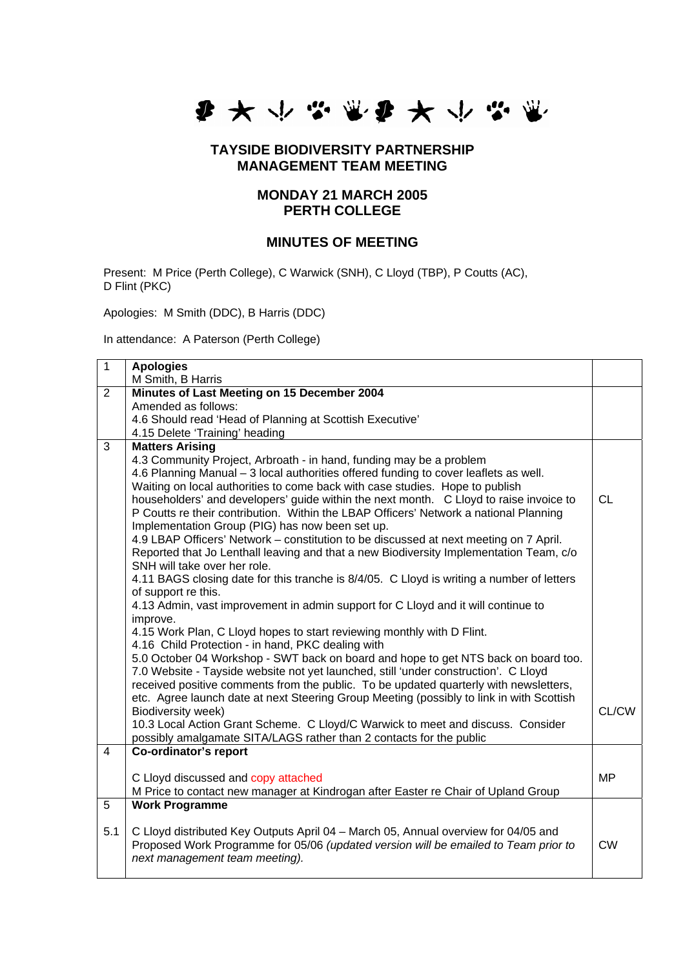

## **TAYSIDE BIODIVERSITY PARTNERSHIP MANAGEMENT TEAM MEETING**

## **MONDAY 21 MARCH 2005 PERTH COLLEGE**

## **MINUTES OF MEETING**

Present: M Price (Perth College), C Warwick (SNH), C Lloyd (TBP), P Coutts (AC), D Flint (PKC)

Apologies: M Smith (DDC), B Harris (DDC)

In attendance: A Paterson (Perth College)

| $\overline{1}$ | <b>Apologies</b>                                                                          |           |
|----------------|-------------------------------------------------------------------------------------------|-----------|
|                | M Smith, B Harris                                                                         |           |
| $\overline{2}$ | Minutes of Last Meeting on 15 December 2004                                               |           |
|                | Amended as follows:                                                                       |           |
|                | 4.6 Should read 'Head of Planning at Scottish Executive'                                  |           |
|                | 4.15 Delete 'Training' heading                                                            |           |
| 3              | <b>Matters Arising</b>                                                                    |           |
|                | 4.3 Community Project, Arbroath - in hand, funding may be a problem                       |           |
|                | 4.6 Planning Manual - 3 local authorities offered funding to cover leaflets as well.      |           |
|                | Waiting on local authorities to come back with case studies. Hope to publish              |           |
|                | householders' and developers' guide within the next month. C Lloyd to raise invoice to    | <b>CL</b> |
|                | P Coutts re their contribution. Within the LBAP Officers' Network a national Planning     |           |
|                | Implementation Group (PIG) has now been set up.                                           |           |
|                | 4.9 LBAP Officers' Network - constitution to be discussed at next meeting on 7 April.     |           |
|                | Reported that Jo Lenthall leaving and that a new Biodiversity Implementation Team, c/o    |           |
|                | SNH will take over her role.                                                              |           |
|                | 4.11 BAGS closing date for this tranche is 8/4/05. C Lloyd is writing a number of letters |           |
|                | of support re this.                                                                       |           |
|                | 4.13 Admin, vast improvement in admin support for C Lloyd and it will continue to         |           |
|                | improve.                                                                                  |           |
|                | 4.15 Work Plan, C Lloyd hopes to start reviewing monthly with D Flint.                    |           |
|                | 4.16 Child Protection - in hand, PKC dealing with                                         |           |
|                | 5.0 October 04 Workshop - SWT back on board and hope to get NTS back on board too.        |           |
|                | 7.0 Website - Tayside website not yet launched, still 'under construction'. C Lloyd       |           |
|                | received positive comments from the public. To be updated quarterly with newsletters,     |           |
|                | etc. Agree launch date at next Steering Group Meeting (possibly to link in with Scottish  |           |
|                | Biodiversity week)                                                                        | CL/CW     |
|                | 10.3 Local Action Grant Scheme. C Lloyd/C Warwick to meet and discuss. Consider           |           |
| $\overline{4}$ | possibly amalgamate SITA/LAGS rather than 2 contacts for the public                       |           |
|                | Co-ordinator's report                                                                     |           |
|                |                                                                                           | <b>MP</b> |
|                | C Lloyd discussed and copy attached                                                       |           |
| 5              | M Price to contact new manager at Kindrogan after Easter re Chair of Upland Group         |           |
|                | <b>Work Programme</b>                                                                     |           |
| 5.1            | C Lloyd distributed Key Outputs April 04 - March 05, Annual overview for 04/05 and        |           |
|                | Proposed Work Programme for 05/06 (updated version will be emailed to Team prior to       | <b>CW</b> |
|                | next management team meeting).                                                            |           |
|                |                                                                                           |           |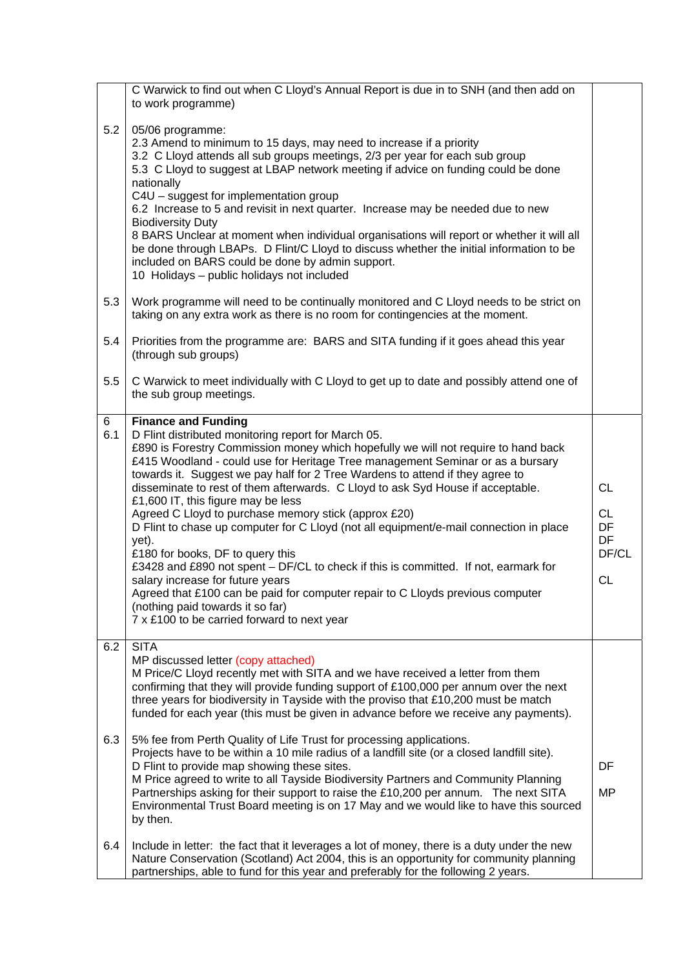|          | C Warwick to find out when C Lloyd's Annual Report is due in to SNH (and then add on<br>to work programme)                                                                                                                                                                                                                                                                                                                                                                                                                                                                                                                                                                                                                                                                                                                                                                                                                                                         |                                                          |
|----------|--------------------------------------------------------------------------------------------------------------------------------------------------------------------------------------------------------------------------------------------------------------------------------------------------------------------------------------------------------------------------------------------------------------------------------------------------------------------------------------------------------------------------------------------------------------------------------------------------------------------------------------------------------------------------------------------------------------------------------------------------------------------------------------------------------------------------------------------------------------------------------------------------------------------------------------------------------------------|----------------------------------------------------------|
| 5.2      | 05/06 programme:<br>2.3 Amend to minimum to 15 days, may need to increase if a priority<br>3.2 C Lloyd attends all sub groups meetings, 2/3 per year for each sub group<br>5.3 C Lloyd to suggest at LBAP network meeting if advice on funding could be done<br>nationally<br>C4U - suggest for implementation group<br>6.2 Increase to 5 and revisit in next quarter. Increase may be needed due to new<br><b>Biodiversity Duty</b><br>8 BARS Unclear at moment when individual organisations will report or whether it will all<br>be done through LBAPs. D Flint/C Lloyd to discuss whether the initial information to be<br>included on BARS could be done by admin support.<br>10 Holidays - public holidays not included                                                                                                                                                                                                                                     |                                                          |
| 5.3      | Work programme will need to be continually monitored and C Lloyd needs to be strict on<br>taking on any extra work as there is no room for contingencies at the moment.                                                                                                                                                                                                                                                                                                                                                                                                                                                                                                                                                                                                                                                                                                                                                                                            |                                                          |
| 5.4      | Priorities from the programme are: BARS and SITA funding if it goes ahead this year<br>(through sub groups)                                                                                                                                                                                                                                                                                                                                                                                                                                                                                                                                                                                                                                                                                                                                                                                                                                                        |                                                          |
| 5.5      | C Warwick to meet individually with C Lloyd to get up to date and possibly attend one of<br>the sub group meetings.                                                                                                                                                                                                                                                                                                                                                                                                                                                                                                                                                                                                                                                                                                                                                                                                                                                |                                                          |
| 6<br>6.1 | <b>Finance and Funding</b><br>D Flint distributed monitoring report for March 05.<br>£890 is Forestry Commission money which hopefully we will not require to hand back<br>£415 Woodland - could use for Heritage Tree management Seminar or as a bursary<br>towards it. Suggest we pay half for 2 Tree Wardens to attend if they agree to<br>disseminate to rest of them afterwards. C Lloyd to ask Syd House if acceptable.<br>£1,600 IT, this figure may be less<br>Agreed C Lloyd to purchase memory stick (approx £20)<br>D Flint to chase up computer for C Lloyd (not all equipment/e-mail connection in place<br>yet).<br>£180 for books, DF to query this<br>£3428 and £890 not spent - DF/CL to check if this is committed. If not, earmark for<br>salary increase for future years<br>Agreed that £100 can be paid for computer repair to C Lloyds previous computer<br>(nothing paid towards it so far)<br>7 x £100 to be carried forward to next year | <b>CL</b><br><b>CL</b><br>DF<br>DF<br>DF/CL<br><b>CL</b> |
| 6.2      | <b>SITA</b><br>MP discussed letter (copy attached)<br>M Price/C Lloyd recently met with SITA and we have received a letter from them<br>confirming that they will provide funding support of £100,000 per annum over the next<br>three years for biodiversity in Tayside with the proviso that £10,200 must be match<br>funded for each year (this must be given in advance before we receive any payments).                                                                                                                                                                                                                                                                                                                                                                                                                                                                                                                                                       |                                                          |
| 6.3      | 5% fee from Perth Quality of Life Trust for processing applications.<br>Projects have to be within a 10 mile radius of a landfill site (or a closed landfill site).<br>D Flint to provide map showing these sites.<br>M Price agreed to write to all Tayside Biodiversity Partners and Community Planning<br>Partnerships asking for their support to raise the £10,200 per annum. The next SITA<br>Environmental Trust Board meeting is on 17 May and we would like to have this sourced<br>by then.                                                                                                                                                                                                                                                                                                                                                                                                                                                              | DF<br><b>MP</b>                                          |
| 6.4      | Include in letter: the fact that it leverages a lot of money, there is a duty under the new<br>Nature Conservation (Scotland) Act 2004, this is an opportunity for community planning<br>partnerships, able to fund for this year and preferably for the following 2 years.                                                                                                                                                                                                                                                                                                                                                                                                                                                                                                                                                                                                                                                                                        |                                                          |